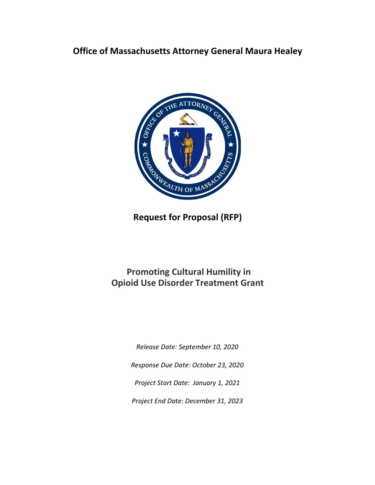# **Office of Massachusetts Attorney General Maura Healey**



**Request for Proposal (RFP)**

# **Promoting Cultural Humility in Opioid Use Disorder Treatment Grant**

*Release Date: September 10, 2020*

*Response Due Date: October 23, 2020*

*Project Start Date: January 1, 2021*

*Project End Date: December 31, 2023*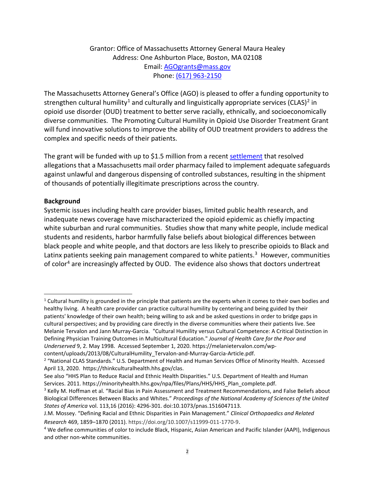# Grantor: Office of Massachusetts Attorney General Maura Healey Address: One Ashburton Place, Boston, MA 02108 Email: [AGOgrants@mass.gov](mailto:AGOgrants@mass.gov) Phone: (617) 963-2150

The Massachusetts Attorney General's Office (AGO) is pleased to offer a funding opportunity to strengthen cultural humility<sup>[1](#page-1-0)</sup> and culturally and linguistically appropriate services (CLAS)<sup>[2](#page-1-1)</sup> in opioid use disorder (OUD) treatment to better serve racially, ethnically, and socioeconomically diverse communities. The Promoting Cultural Humility in Opioid Use Disorder Treatment Grant will fund innovative solutions to improve the ability of OUD treatment providers to address the complex and specific needs of their patients.

The grant will be funded with up to \$1.5 million from a recent [settlement](https://www.mass.gov/news/ag-healey-secures-11-million-settlement-with-andover-mail-order-pharmacy-for-illegal) that resolved allegations that a Massachusetts mail order pharmacy failed to implement adequate safeguards against unlawful and dangerous dispensing of controlled substances, resulting in the shipment of thousands of potentially illegitimate prescriptions across the country.

#### **Background**

Systemic issues including health care provider biases, limited public health research, and inadequate news coverage have mischaracterized the opioid epidemic as chiefly impacting white suburban and rural communities. Studies show that many white people, include medical students and residents, harbor harmfully false beliefs about biological differences between black people and white people, and that doctors are less likely to prescribe opioids to Black and Latinx patients seeking pain management compared to white patients.<sup>[3](#page-1-2)</sup> However, communities of color<sup>[4](#page-1-3)</sup> are increasingly affected by OUD. The evidence also shows that doctors undertreat

See also "HHS Plan to Reduce Racial and Ethnic Health Disparities." U.S. Department of Health and Human Services. 2011. https://minorityhealth.hhs.gov/npa/files/Plans/HHS/HHS\_Plan\_complete.pdf.

<span id="page-1-0"></span> $1$  Cultural humility is grounded in the principle that patients are the experts when it comes to their own bodies and healthy living. A health care provider can practice cultural humility by centering and being guided by their patients' knowledge of their own health; being willing to ask and be asked questions in order to bridge gaps in cultural perspectives; and by providing care directly in the diverse communities where their patients live. See Melanie Tervalon and Jann Murray-Garcia. "Cultural Humility versus Cultural Competence: A Critical Distinction in Defining Physician Training Outcomes in Multicultural Education." *Journal of Health Care for the Poor and Underserved* 9, 2. May 1998. Accessed September 1, 2020. https://melanietervalon.com/wp-

content/uploads/2013/08/CulturalHumility\_Tervalon-and-Murray-Garcia-Article.pdf.

<span id="page-1-1"></span><sup>&</sup>lt;sup>2</sup> "National CLAS Standards." U.S. Department of Health and Human Services Office of Minority Health. Accessed April 13, 2020. https://thinkculturalhealth.hhs.gov/clas.

<span id="page-1-2"></span><sup>&</sup>lt;sup>3</sup> Kelly M. Hoffman et al. "Racial Bias in Pain Assessment and Treatment Recommendations, and False Beliefs about Biological Differences Between Blacks and Whites." *Proceedings of the National Academy of Sciences of the United States of America* vol. 113,16 (2016): 4296-301. doi:10.1073/pnas.1516047113.

J.M. Mossey. "Defining Racial and Ethnic Disparities in Pain Management." *Clinical Orthopaedics and Related Research* 469, 1859–1870 (2011). https://doi.org/10.1007/s11999-011-1770-9.

<span id="page-1-3"></span><sup>4</sup> We define communities of color to include Black, Hispanic, Asian American and Pacific Islander (AAPI), Indigenous and other non-white communities.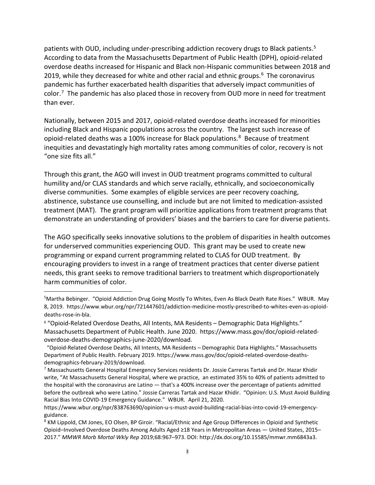patients with OUD, including under-prescribing addiction recovery drugs to Black patients.<sup>[5](#page-2-0)</sup> According to data from the Massachusetts Department of Public Health (DPH), opioid-related overdose deaths increased for Hispanic and Black non-Hispanic communities between 2018 and 2019, while they decreased for white and other racial and ethnic groups. $6$  The coronavirus pandemic has further exacerbated health disparities that adversely impact communities of color.[7](#page-2-2) The pandemic has also placed those in recovery from OUD more in need for treatment than ever.

Nationally, between 2015 and 2017, opioid-related overdose deaths increased for minorities including Black and Hispanic populations across the country. The largest such increase of opioid-related deaths was a 100% increase for Black populations.<sup>[8](#page-2-3)</sup> Because of treatment inequities and devastatingly high mortality rates among communities of color, recovery is not "one size fits all."

Through this grant, the AGO will invest in OUD treatment programs committed to cultural humility and/or CLAS standards and which serve racially, ethnically, and socioeconomically diverse communities. Some examples of eligible services are peer recovery coaching, abstinence, substance use counselling, and include but are not limited to medication-assisted treatment (MAT). The grant program will prioritize applications from treatment programs that demonstrate an understanding of providers' biases and the barriers to care for diverse patients.

The AGO specifically seeks innovative solutions to the problem of disparities in health outcomes for underserved communities experiencing OUD. This grant may be used to create new programming or expand current programming related to CLAS for OUD treatment. By encouraging providers to invest in a range of treatment practices that center diverse patient needs, this grant seeks to remove traditional barriers to treatment which disproportionately harm communities of color.

<span id="page-2-0"></span><sup>&</sup>lt;sup>5</sup>Martha Bebinger. "Opioid Addiction Drug Going Mostly To Whites, Even As Black Death Rate Rises." WBUR. May 8, 2019. https://www.wbur.org/npr/721447601/addiction-medicine-mostly-prescribed-to-whites-even-as-opioiddeaths-rose-in-bla.

<span id="page-2-1"></span><sup>6</sup> "Opioid-Related Overdose Deaths, All Intents, MA Residents – Demographic Data Highlights." Massachusetts Department of Public Health. June 2020. https://www.mass.gov/doc/opioid-relatedoverdose-deaths-demographics-june-2020/download.

 <sup>&</sup>quot;Opioid-Related Overdose Deaths, All Intents, MA Residents – Demographic Data Highlights." Massachusetts Department of Public Health. February 2019. https://www.mass.gov/doc/opioid-related-overdose-deathsdemographics-february-2019/download.

<span id="page-2-2"></span><sup>7</sup> Massachusetts General Hospital Emergency Services residents Dr. Jossie Carreras Tartak and Dr. Hazar Khidir write, "At Massachusetts General Hospital, where we practice, an estimated 35% to 40% of patients admitted to the hospital with the coronavirus are Latino — that's a 400% increase over the percentage of patients admitted before the outbreak who were Latino." Jossie Carreras Tartak and Hazar Khidir. "Opinion: U.S. Must Avoid Building Racial Bias Into COVID-19 Emergency Guidance." WBUR. April 21, 2020.

https://www.wbur.org/npr/838763690/opinion-u-s-must-avoid-building-racial-bias-into-covid-19-emergencyguidance.

<span id="page-2-3"></span><sup>8</sup> KM Lippold, CM Jones, EO Olsen, BP Giroir. "Racial/Ethnic and Age Group Differences in Opioid and Synthetic Opioid–Involved Overdose Deaths Among Adults Aged ≥18 Years in Metropolitan Areas — United States, 2015– 2017." *MMWR Morb Mortal Wkly Rep* 2019;68:967–973. DOI: http://dx.doi.org/10.15585/mmwr.mm6843a3.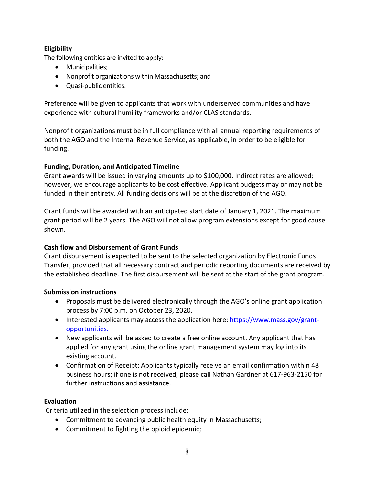# **Eligibility**

The following entities are invited to apply:

- Municipalities;
- Nonprofit organizations within Massachusetts; and
- Quasi-public entities.

Preference will be given to applicants that work with underserved communities and have experience with cultural humility frameworks and/or CLAS standards.

Nonprofit organizations must be in full compliance with all annual reporting requirements of both the AGO and the Internal Revenue Service, as applicable, in order to be eligible for funding.

# **Funding, Duration, and Anticipated Timeline**

Grant awards will be issued in varying amounts up to \$100,000. Indirect rates are allowed; however, we encourage applicants to be cost effective. Applicant budgets may or may not be funded in their entirety. All funding decisions will be at the discretion of the AGO.

Grant funds will be awarded with an anticipated start date of January 1, 2021. The maximum grant period will be 2 years. The AGO will not allow program extensions except for good cause shown.

# **Cash flow and Disbursement of Grant Funds**

Grant disbursement is expected to be sent to the selected organization by Electronic Funds Transfer, provided that all necessary contract and periodic reporting documents are received by the established deadline. The first disbursement will be sent at the start of the grant program.

# **Submission instructions**

- Proposals must be delivered electronically through the AGO's online grant application process by 7:00 p.m. on October 23, 2020.
- Interested applicants may access the application here: [https://www.mass.gov/grant](https://www.mass.gov/grant-opportunities)[opportunities.](https://www.mass.gov/grant-opportunities)
- New applicants will be asked to create a free online account. Any applicant that has applied for any grant using the online grant management system may log into its existing account.
- Confirmation of Receipt: Applicants typically receive an email confirmation within 48 business hours; if one is not received, please call Nathan Gardner at 617-963-2150 for further instructions and assistance.

# **Evaluation**

Criteria utilized in the selection process include:

- Commitment to advancing public health equity in Massachusetts;
- Commitment to fighting the opioid epidemic;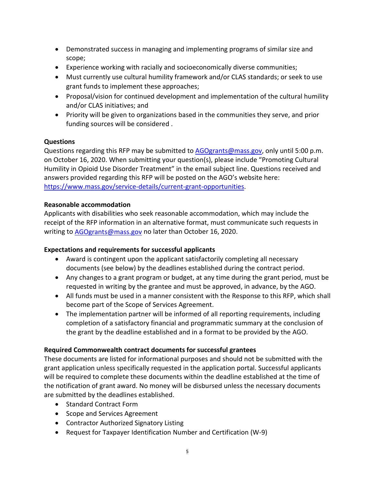- Demonstrated success in managing and implementing programs of similar size and scope;
- Experience working with racially and socioeconomically diverse communities;
- Must currently use cultural humility framework and/or CLAS standards; or seek to use grant funds to implement these approaches;
- Proposal/vision for continued development and implementation of the cultural humility and/or CLAS initiatives; and
- Priority will be given to organizations based in the communities they serve, and prior funding sources will be considered .

# **Questions**

Questions regarding this RFP may be submitted to AGOgrants@mass.gov, only until 5:00 p.m. on October 16, 2020. When submitting your question(s), please include "Promoting Cultural Humility in Opioid Use Disorder Treatment" in the email subject line. Questions received and answers provided regarding this RFP will be posted on the AGO's website here: [https://www.mass.gov/service-details/current-grant-opportunities.](https://www.mass.gov/service-details/current-grant-opportunities)

#### **Reasonable accommodation**

Applicants with disabilities who seek reasonable accommodation, which may include the receipt of the RFP information in an alternative format, must communicate such requests in writing to **AGOgrants@mass.gov** no later than October 16, 2020.

# **Expectations and requirements for successful applicants**

- Award is contingent upon the applicant satisfactorily completing all necessary documents (see below) by the deadlines established during the contract period.
- Any changes to a grant program or budget, at any time during the grant period, must be requested in writing by the grantee and must be approved, in advance, by the AGO.
- All funds must be used in a manner consistent with the Response to this RFP, which shall become part of the Scope of Services Agreement.
- The implementation partner will be informed of all reporting requirements, including completion of a satisfactory financial and programmatic summary at the conclusion of the grant by the deadline established and in a format to be provided by the AGO.

# **Required Commonwealth contract documents for successful grantees**

These documents are listed for informational purposes and should not be submitted with the grant application unless specifically requested in the application portal. Successful applicants will be required to complete these documents within the deadline established at the time of the notification of grant award. No money will be disbursed unless the necessary documents are submitted by the deadlines established.

- Standard Contract Form
- Scope and Services Agreement
- Contractor Authorized Signatory Listing
- Request for Taxpayer Identification Number and Certification (W-9)